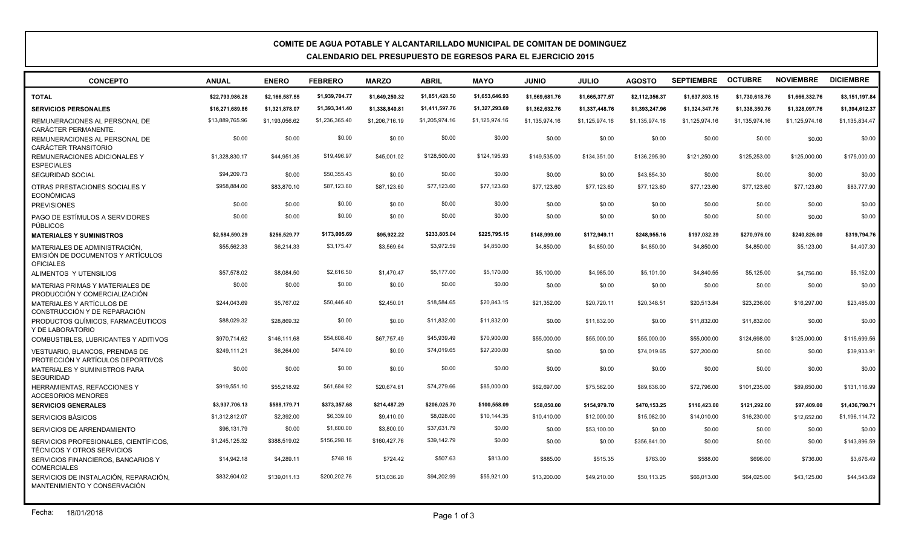## **COMITE DE AGUA POTABLE Y ALCANTARILLADO MUNICIPAL DE COMITAN DE DOMINGUEZ CALENDARIO DEL PRESUPUESTO DE EGRESOS PARA EL EJERCICIO 2015**

| <b>CONCEPTO</b>                                                                        | <b>ANUAL</b>    | <b>ENERO</b>   | <b>FEBRERO</b> | <b>MARZO</b>   | <b>ABRIL</b>   | <b>MAYO</b>    | <b>OINIU</b>   | <b>JULIO</b>   | <b>AGOSTO</b>  | <b>SEPTIEMBRE</b> | <b>OCTUBRE</b> | <b>NOVIEMBRE</b> | <b>DICIEMBRE</b> |
|----------------------------------------------------------------------------------------|-----------------|----------------|----------------|----------------|----------------|----------------|----------------|----------------|----------------|-------------------|----------------|------------------|------------------|
| <b>TOTAL</b>                                                                           | \$22,793,986.28 | \$2,166,587.55 | \$1,939,704.77 | \$1,649,250.32 | \$1,851,428.50 | \$1,653,646.93 | \$1,569,681.76 | \$1,665,377.57 | \$2,112,356.37 | \$1,637,803.15    | \$1,730,618.76 | \$1,666,332.76   | \$3,151,197.84   |
| <b>SERVICIOS PERSONALES</b>                                                            | \$16,271,689.86 | \$1,321,878.07 | \$1,393,341.40 | \$1,338,840.81 | \$1,411,597.76 | \$1,327,293.69 | \$1,362,632.76 | \$1,337,448.76 | \$1,393,247.96 | \$1,324,347.76    | \$1,338,350.76 | \$1,328,097.76   | \$1,394,612.37   |
| REMUNERACIONES AL PERSONAL DE<br>CARÁCTER PERMANENTE.                                  | \$13,889,765.96 | \$1,193,056.62 | \$1,236,365.40 | \$1,206,716.19 | \$1,205,974.16 | \$1,125,974.16 | \$1,135,974.16 | \$1,125,974.16 | \$1,135,974.16 | \$1,125,974.16    | \$1,135,974.16 | \$1,125,974.16   | \$1,135,834.47   |
| REMUNERACIONES AL PERSONAL DE<br><b>CARÁCTER TRANSITORIO</b>                           | \$0.00          | \$0.00         | \$0.00         | \$0.00         | \$0.00         | \$0.00         | \$0.00         | \$0.00         | \$0.00         | \$0.00            | \$0.00         | \$0.00           | \$0.00           |
| REMUNERACIONES ADICIONALES Y<br><b>ESPECIALES</b>                                      | \$1.328.830.17  | \$44.951.35    | \$19,496.97    | \$45,001.02    | \$128,500.00   | \$124,195.93   | \$149,535.00   | \$134,351,00   | \$136,295.90   | \$121.250.00      | \$125,253.00   | \$125,000.00     | \$175,000.00     |
| <b>SEGURIDAD SOCIAL</b>                                                                | \$94,209.73     | \$0.00         | \$50,355.43    | \$0.00         | \$0.00         | \$0.00         | \$0.00         | \$0.00         | \$43,854.30    | \$0.00            | \$0.00         | \$0.00           | \$0.00           |
| OTRAS PRESTACIONES SOCIALES Y<br><b>ECONÓMICAS</b>                                     | \$958,884.00    | \$83,870.10    | \$87,123.60    | \$87,123.60    | \$77,123.60    | \$77,123.60    | \$77,123.60    | \$77,123.60    | \$77,123.60    | \$77,123.60       | \$77,123.60    | \$77,123.60      | \$83,777.90      |
| <b>PREVISIONES</b>                                                                     | \$0.00          | \$0.00         | \$0.00         | \$0.00         | \$0.00         | \$0.00         | \$0.00         | \$0.00         | \$0.00         | \$0.00            | \$0.00         | \$0.00           | \$0.00           |
| PAGO DE ESTÍMULOS A SERVIDORES<br><b>PÚBLICOS</b>                                      | \$0.00          | \$0.00         | \$0.00         | \$0.00         | \$0.00         | \$0.00         | \$0.00         | \$0.00         | \$0.00         | \$0.00            | \$0.00         | \$0.00           | \$0.00           |
| <b>MATERIALES Y SUMINISTROS</b>                                                        | \$2.584.590.29  | \$256.529.77   | \$173,005.69   | \$95.922.22    | \$233,805.04   | \$225,795.15   | \$148.999.00   | \$172,949.11   | \$248,955.16   | \$197,032.39      | \$270.976.00   | \$240.826.00     | \$319,794.76     |
| MATERIALES DE ADMINISTRACIÓN.<br>EMISIÓN DE DOCUMENTOS Y ARTÍCULOS<br><b>OFICIALES</b> | \$55,562.33     | \$6.214.33     | \$3,175.47     | \$3.569.64     | \$3,972.59     | \$4,850.00     | \$4,850.00     | \$4,850.00     | \$4,850.00     | \$4,850.00        | \$4,850.00     | \$5,123.00       | \$4,407.30       |
| ALIMENTOS Y UTENSILIOS                                                                 | \$57,578.02     | \$8.084.50     | \$2,616.50     | \$1,470.47     | \$5,177.00     | \$5,170.00     | \$5,100.00     | \$4,985.00     | \$5,101.00     | \$4,840.55        | \$5,125.00     | \$4,756.00       | \$5,152.00       |
| MATERIAS PRIMAS Y MATERIALES DE<br>PRODUCCIÓN Y COMERCIALIZACIÓN                       | \$0.00          | \$0.00         | \$0.00         | \$0.00         | \$0.00         | \$0.00         | \$0.00         | \$0.00         | \$0.00         | \$0.00            | \$0.00         | \$0.00           | \$0.00           |
| MATERIALES Y ARTÍCULOS DE<br>CONSTRUCCIÓN Y DE REPARACIÓN                              | \$244,043.69    | \$5,767.02     | \$50,446.40    | \$2,450.01     | \$18,584.65    | \$20,843.15    | \$21,352.00    | \$20,720.11    | \$20,348.51    | \$20,513.84       | \$23,236.00    | \$16,297.00      | \$23,485.00      |
| PRODUCTOS QUÍMICOS, FARMACÉUTICOS<br>Y DE LABORATORIO                                  | \$88,029.32     | \$28,869.32    | \$0.00         | \$0.00         | \$11.832.00    | \$11,832,00    | \$0.00         | \$11,832.00    | \$0.00         | \$11,832.00       | \$11,832.00    | \$0.00           | \$0.00           |
| COMBUSTIBLES, LUBRICANTES Y ADITIVOS                                                   | \$970,714.62    | \$146,111.68   | \$54,608.40    | \$67,757.49    | \$45,939.49    | \$70,900.00    | \$55,000.00    | \$55,000.00    | \$55,000.00    | \$55,000.00       | \$124,698,00   | \$125,000.00     | \$115,699.56     |
| <b>VESTUARIO, BLANCOS, PRENDAS DE</b><br>PROTECCIÓN Y ARTÍCULOS DEPORTIVOS             | \$249,111.21    | \$6,264.00     | \$474.00       | \$0.00         | \$74,019.65    | \$27,200.00    | \$0.00         | \$0.00         | \$74,019.65    | \$27,200.00       | \$0.00         | \$0.00           | \$39,933.91      |
| <b>MATERIALES Y SUMINISTROS PARA</b><br><b>SEGURIDAD</b>                               | \$0.00          | \$0.00         | \$0.00         | \$0.00         | \$0.00         | \$0.00         | \$0.00         | \$0.00         | \$0.00         | \$0.00            | \$0.00         | \$0.00           | \$0.00           |
| <b>HERRAMIENTAS, REFACCIONES Y</b><br><b>ACCESORIOS MENORES</b>                        | \$919,551.10    | \$55,218.92    | \$61,684.92    | \$20,674.61    | \$74,279.66    | \$85,000.00    | \$62,697.00    | \$75,562.00    | \$89,636.00    | \$72,796.00       | \$101,235.00   | \$89,650.00      | \$131,116.99     |
| <b>SERVICIOS GENERALES</b>                                                             | \$3,937,706.13  | \$588,179.71   | \$373,357.68   | \$214,487.29   | \$206,025.70   | \$100.558.09   | \$58,050.00    | \$154,979.70   | \$470,153.25   | \$116,423.00      | \$121,292.00   | \$97,409.00      | \$1,436,790.71   |
| <b>SERVICIOS BÁSICOS</b>                                                               | \$1,312,812.07  | \$2,392.00     | \$6,339.00     | \$9,410.00     | \$8,028.00     | \$10,144.35    | \$10,410.00    | \$12,000.00    | \$15,082.00    | \$14,010.00       | \$16,230.00    | \$12,652.00      | \$1,196,114.72   |
| SERVICIOS DE ARRENDAMIENTO                                                             | \$96,131.79     | \$0.00         | \$1,600.00     | \$3,800.00     | \$37,631.79    | \$0.00         | \$0.00         | \$53,100.00    | \$0.00         | \$0.00            | \$0.00         | \$0.00           | \$0.00           |
| SERVICIOS PROFESIONALES. CIENTÍFICOS.<br><b>TÉCNICOS Y OTROS SERVICIOS</b>             | \$1,245,125.32  | \$388,519.02   | \$156,298.16   | \$160,427.76   | \$39,142.79    | \$0.00         | \$0.00         | \$0.00         | \$356,841.00   | \$0.00            | \$0.00         | \$0.00           | \$143,896.59     |
| SERVICIOS FINANCIEROS, BANCARIOS Y<br><b>COMERCIALES</b>                               | \$14,942.18     | \$4,289.11     | \$748.18       | \$724.42       | \$507.63       | \$813.00       | \$885.00       | \$515.35       | \$763.00       | \$588.00          | \$696.00       | \$736.00         | \$3,676.49       |
| SERVICIOS DE INSTALACIÓN, REPARACIÓN,                                                  | \$832,604.02    | \$139,011.13   | \$200,202.76   | \$13,036.20    | \$94,202.99    | \$55,921.00    | \$13,200.00    | \$49,210.00    | \$50,113.25    | \$66,013.00       | \$64,025.00    | \$43,125.00      | \$44,543.69      |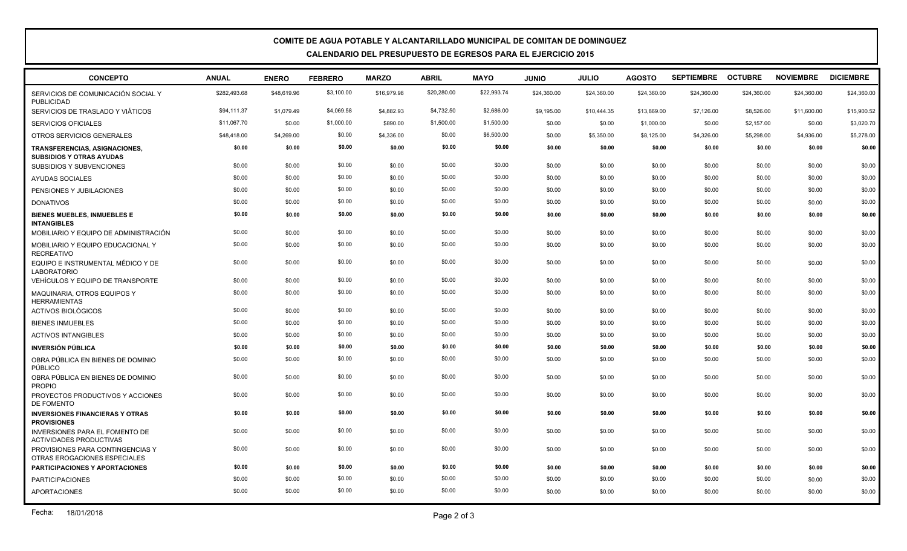## **COMITE DE AGUA POTABLE Y ALCANTARILLADO MUNICIPAL DE COMITAN DE DOMINGUEZ CALENDARIO DEL PRESUPUESTO DE EGRESOS PARA EL EJERCICIO 2015**

| <b>CONCEPTO</b>                                                         | <b>ANUAL</b> | <b>ENERO</b> | <b>FEBRERO</b> | <b>MARZO</b> | <b>ABRIL</b> | <b>MAYO</b> | <b>JUNIO</b> | <b>JULIO</b> | <b>AGOSTO</b> | <b>SEPTIEMBRE</b> | <b>OCTUBRE</b> | <b>NOVIEMBRE</b> | <b>DICIEMBRE</b> |
|-------------------------------------------------------------------------|--------------|--------------|----------------|--------------|--------------|-------------|--------------|--------------|---------------|-------------------|----------------|------------------|------------------|
| SERVICIOS DE COMUNICACIÓN SOCIAL Y<br><b>PUBLICIDAD</b>                 | \$282,493.68 | \$48,619.96  | \$3,100.00     | \$16,979.98  | \$20,280.00  | \$22,993.74 | \$24,360.00  | \$24,360.00  | \$24,360.00   | \$24,360.00       | \$24,360.00    | \$24,360.00      | \$24,360.00      |
| SERVICIOS DE TRASLADO Y VIÁTICOS                                        | \$94,111.37  | \$1,079.49   | \$4,069.58     | \$4,882.93   | \$4,732.50   | \$2,686.00  | \$9,195.00   | \$10,444.35  | \$13,869.00   | \$7,126.00        | \$8,526.00     | \$11,600.00      | \$15,900.52      |
| <b>SERVICIOS OFICIALES</b>                                              | \$11,067.70  | \$0.00       | \$1,000.00     | \$890.00     | \$1,500.00   | \$1,500.00  | \$0.00       | \$0.00       | \$1,000.00    | \$0.00            | \$2,157.00     | \$0.00           | \$3,020.70       |
| OTROS SERVICIOS GENERALES                                               | \$48,418.00  | \$4,269.00   | \$0.00         | \$4,336.00   | \$0.00       | \$6,500.00  | \$0.00       | \$5,350.00   | \$8,125.00    | \$4,326.00        | \$5,298.00     | \$4,936.00       | \$5,278.00       |
| TRANSFERENCIAS, ASIGNACIONES,<br><b>SUBSIDIOS Y OTRAS AYUDAS</b>        | \$0.00       | \$0.00       | \$0.00         | \$0.00       | \$0.00       | \$0.00      | \$0.00       | \$0.00       | \$0.00        | \$0.00            | \$0.00         | \$0.00           | \$0.00           |
| <b>SUBSIDIOS Y SUBVENCIONES</b>                                         | \$0.00       | \$0.00       | \$0.00         | \$0.00       | \$0.00       | \$0.00      | \$0.00       | \$0.00       | \$0.00        | \$0.00            | \$0.00         | \$0.00           | \$0.00           |
| AYUDAS SOCIALES                                                         | \$0.00       | \$0.00       | \$0.00         | \$0.00       | \$0.00       | \$0.00      | \$0.00       | \$0.00       | \$0.00        | \$0.00            | \$0.00         | \$0.00           | \$0.00           |
| PENSIONES Y JUBILACIONES                                                | \$0.00       | \$0.00       | \$0.00         | \$0.00       | \$0.00       | \$0.00      | \$0.00       | \$0.00       | \$0.00        | \$0.00            | \$0.00         | \$0.00           | \$0.00           |
| <b>DONATIVOS</b>                                                        | \$0.00       | \$0.00       | \$0.00         | \$0.00       | \$0.00       | \$0.00      | \$0.00       | \$0.00       | \$0.00        | \$0.00            | \$0.00         | \$0.00           | \$0.00           |
| <b>BIENES MUEBLES, INMUEBLES E</b><br><b>INTANGIBLES</b>                | \$0.00       | \$0.00       | \$0.00         | \$0.00       | \$0.00       | \$0.00      | \$0.00       | \$0.00       | \$0.00        | \$0.00            | \$0.00         | \$0.00           | \$0.00           |
| MOBILIARIO Y EQUIPO DE ADMINISTRACIÓN                                   | \$0.00       | \$0.00       | \$0.00         | \$0.00       | \$0.00       | \$0.00      | \$0.00       | \$0.00       | \$0.00        | \$0.00            | \$0.00         | \$0.00           | \$0.00           |
| MOBILIARIO Y EQUIPO EDUCACIONAL Y<br><b>RECREATIVO</b>                  | \$0.00       | \$0.00       | \$0.00         | \$0.00       | \$0.00       | \$0.00      | \$0.00       | \$0.00       | \$0.00        | \$0.00            | \$0.00         | \$0.00           | \$0.00           |
| EQUIPO E INSTRUMENTAL MÉDICO Y DE<br><b>LABORATORIO</b>                 | \$0.00       | \$0.00       | \$0.00         | \$0.00       | \$0.00       | \$0.00      | \$0.00       | \$0.00       | \$0.00        | \$0.00            | \$0.00         | \$0.00           | \$0.00           |
| VEHÍCULOS Y EQUIPO DE TRANSPORTE                                        | \$0.00       | \$0.00       | \$0.00         | \$0.00       | \$0.00       | \$0.00      | \$0.00       | \$0.00       | \$0.00        | \$0.00            | \$0.00         | \$0.00           | \$0.00           |
| MAQUINARIA, OTROS EQUIPOS Y<br><b>HERRAMIENTAS</b>                      | \$0.00       | \$0.00       | \$0.00         | \$0.00       | \$0.00       | \$0.00      | \$0.00       | \$0.00       | \$0.00        | \$0.00            | \$0.00         | \$0.00           | \$0.00           |
| <b>ACTIVOS BIOLÓGICOS</b>                                               | \$0.00       | \$0.00       | \$0.00         | \$0.00       | \$0.00       | \$0.00      | \$0.00       | \$0.00       | \$0.00        | \$0.00            | \$0.00         | \$0.00           | \$0.00           |
| <b>BIENES INMUEBLES</b>                                                 | \$0.00       | \$0.00       | \$0.00         | \$0.00       | \$0.00       | \$0.00      | \$0.00       | \$0.00       | \$0.00        | \$0.00            | \$0.00         | \$0.00           | \$0.00           |
| <b>ACTIVOS INTANGIBLES</b>                                              | \$0.00       | \$0.00       | \$0.00         | \$0.00       | \$0.00       | \$0.00      | \$0.00       | \$0.00       | \$0.00        | \$0.00            | \$0.00         | \$0.00           | \$0.00           |
| <b>INVERSIÓN PÚBLICA</b>                                                | \$0.00       | \$0.00       | \$0.00         | \$0.00       | \$0.00       | \$0.00      | \$0.00       | \$0.00       | \$0.00        | \$0.00            | \$0.00         | \$0.00           | \$0.00           |
| OBRA PÚBLICA EN BIENES DE DOMINIO<br><b>PÚBLICO</b>                     | \$0.00       | \$0.00       | \$0.00         | \$0.00       | \$0.00       | \$0.00      | \$0.00       | \$0.00       | \$0.00        | \$0.00            | \$0.00         | \$0.00           | \$0.00           |
| OBRA PÚBLICA EN BIENES DE DOMINIO<br><b>PROPIO</b>                      | \$0.00       | \$0.00       | \$0.00         | \$0.00       | \$0.00       | \$0.00      | \$0.00       | \$0.00       | \$0.00        | \$0.00            | \$0.00         | \$0.00           | \$0.00           |
| PROYECTOS PRODUCTIVOS Y ACCIONES<br>DE FOMENTO                          | \$0.00       | \$0.00       | \$0.00         | \$0.00       | \$0.00       | \$0.00      | \$0.00       | \$0.00       | \$0.00        | \$0.00            | \$0.00         | \$0.00           | \$0.00           |
| <b>INVERSIONES FINANCIERAS Y OTRAS</b><br><b>PROVISIONES</b>            | \$0.00       | \$0.00       | \$0.00         | \$0.00       | \$0.00       | \$0.00      | \$0.00       | \$0.00       | \$0.00        | \$0.00            | \$0.00         | \$0.00           | \$0.00           |
| <b>INVERSIONES PARA EL FOMENTO DE</b><br><b>ACTIVIDADES PRODUCTIVAS</b> | \$0.00       | \$0.00       | \$0.00         | \$0.00       | \$0.00       | \$0.00      | \$0.00       | \$0.00       | \$0.00        | \$0.00            | \$0.00         | \$0.00           | \$0.00           |
| PROVISIONES PARA CONTINGENCIAS Y<br>OTRAS EROGACIONES ESPECIALES        | \$0.00       | \$0.00       | \$0.00         | \$0.00       | \$0.00       | \$0.00      | \$0.00       | \$0.00       | \$0.00        | \$0.00            | \$0.00         | \$0.00           | \$0.00           |
| <b>PARTICIPACIONES Y APORTACIONES</b>                                   | \$0.00       | \$0.00       | \$0.00         | \$0.00       | \$0.00       | \$0.00      | \$0.00       | \$0.00       | \$0.00        | \$0.00            | \$0.00         | \$0.00           | \$0.00           |
| <b>PARTICIPACIONES</b>                                                  | \$0.00       | \$0.00       | \$0.00         | \$0.00       | \$0.00       | \$0.00      | \$0.00       | \$0.00       | \$0.00        | \$0.00            | \$0.00         | \$0.00           | \$0.00           |
| <b>APORTACIONES</b>                                                     | \$0.00       | \$0.00       | \$0.00         | \$0.00       | \$0.00       | \$0.00      | \$0.00       | \$0.00       | \$0.00        | \$0.00            | \$0.00         | \$0.00           | \$0.00           |